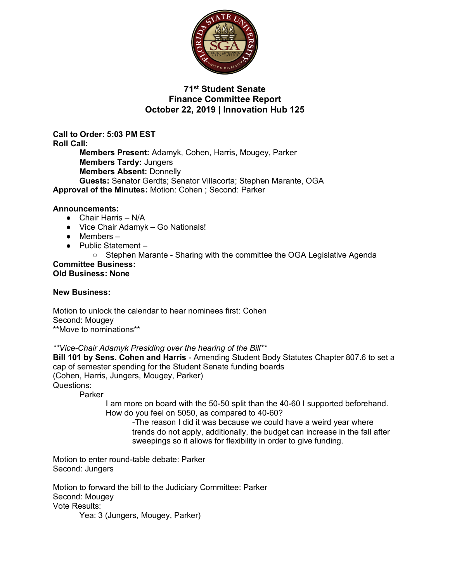

### **71st Student Senate Finance Committee Report October 22, 2019 | Innovation Hub 125**

**Call to Order: 5:03 PM EST Roll Call: Members Present:** Adamyk, Cohen, Harris, Mougey, Parker **Members Tardy:** Jungers **Members Absent:** Donnelly **Guests:** Senator Gerdts; Senator Villacorta; Stephen Marante, OGA **Approval of the Minutes:** Motion: Cohen ; Second: Parker

### **Announcements:**

- Chair Harris N/A
- Vice Chair Adamyk Go Nationals!
- Members –
- Public Statement
	- Stephen Marante Sharing with the committee the OGA Legislative Agenda

#### **Committee Business: Old Business: None**

#### **New Business:**

Motion to unlock the calendar to hear nominees first: Cohen Second: Mougey \*\*Move to nominations\*\*

*\*\*Vice-Chair Adamyk Presiding over the hearing of the Bill\*\**

**Bill 101 by Sens. Cohen and Harris** - Amending Student Body Statutes Chapter 807.6 to set a cap of semester spending for the Student Senate funding boards (Cohen, Harris, Jungers, Mougey, Parker) Questions:

Parker

I am more on board with the 50-50 split than the 40-60 I supported beforehand. How do you feel on 5050, as compared to 40-60?

-The reason I did it was because we could have a weird year where trends do not apply, additionally, the budget can increase in the fall after sweepings so it allows for flexibility in order to give funding.

Motion to enter round-table debate: Parker Second: Jungers

Motion to forward the bill to the Judiciary Committee: Parker Second: Mougey Vote Results: Yea: 3 (Jungers, Mougey, Parker)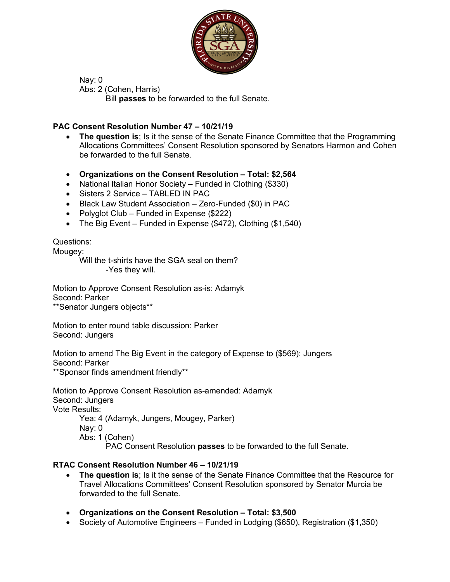

Nay: 0 Abs: 2 (Cohen, Harris) Bill **passes** to be forwarded to the full Senate.

## **PAC Consent Resolution Number 47 – 10/21/19**

- **The question is**; Is it the sense of the Senate Finance Committee that the Programming Allocations Committees' Consent Resolution sponsored by Senators Harmon and Cohen be forwarded to the full Senate.
- **Organizations on the Consent Resolution – Total: \$2,564**
- National Italian Honor Society Funded in Clothing (\$330)
- Sisters 2 Service TABLED IN PAC
- Black Law Student Association Zero-Funded (\$0) in PAC
- Polyglot Club Funded in Expense (\$222)
- The Big Event Funded in Expense (\$472), Clothing (\$1,540)

Questions:

Mougey:

Will the t-shirts have the SGA seal on them? -Yes they will.

Motion to Approve Consent Resolution as-is: Adamyk Second: Parker \*\*Senator Jungers objects\*\*

Motion to enter round table discussion: Parker Second: Jungers

Motion to amend The Big Event in the category of Expense to (\$569): Jungers Second: Parker

\*\*Sponsor finds amendment friendly\*\*

Motion to Approve Consent Resolution as-amended: Adamyk Second: Jungers Vote Results: Yea: 4 (Adamyk, Jungers, Mougey, Parker)

Nay: 0

Abs: 1 (Cohen)

PAC Consent Resolution **passes** to be forwarded to the full Senate.

### **RTAC Consent Resolution Number 46 – 10/21/19**

- **The question is**; Is it the sense of the Senate Finance Committee that the Resource for Travel Allocations Committees' Consent Resolution sponsored by Senator Murcia be forwarded to the full Senate.
- **Organizations on the Consent Resolution – Total: \$3,500**
- Society of Automotive Engineers Funded in Lodging (\$650), Registration (\$1,350)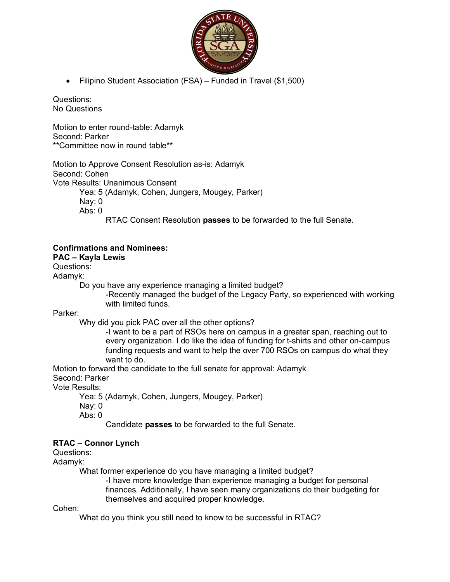

• Filipino Student Association (FSA) – Funded in Travel (\$1,500)

Questions: No Questions

Motion to enter round-table: Adamyk Second: Parker \*\*Committee now in round table\*\*

Motion to Approve Consent Resolution as-is: Adamyk Second: Cohen Vote Results: Unanimous Consent Yea: 5 (Adamyk, Cohen, Jungers, Mougey, Parker) Nay: 0 Abs: 0

RTAC Consent Resolution **passes** to be forwarded to the full Senate.

## **Confirmations and Nominees:**

## **PAC – Kayla Lewis**

Questions:

Adamyk:

Do you have any experience managing a limited budget?

-Recently managed the budget of the Legacy Party, so experienced with working with limited funds.

Parker:

Why did you pick PAC over all the other options?

-I want to be a part of RSOs here on campus in a greater span, reaching out to every organization. I do like the idea of funding for t-shirts and other on-campus funding requests and want to help the over 700 RSOs on campus do what they want to do.

Motion to forward the candidate to the full senate for approval: Adamyk

Second: Parker

Vote Results:

Yea: 5 (Adamyk, Cohen, Jungers, Mougey, Parker)

Nay: 0

Abs: 0

Candidate **passes** to be forwarded to the full Senate.

# **RTAC – Connor Lynch**

Questions:

Adamyk:

What former experience do you have managing a limited budget?

-I have more knowledge than experience managing a budget for personal finances. Additionally, I have seen many organizations do their budgeting for themselves and acquired proper knowledge.

Cohen:

What do you think you still need to know to be successful in RTAC?